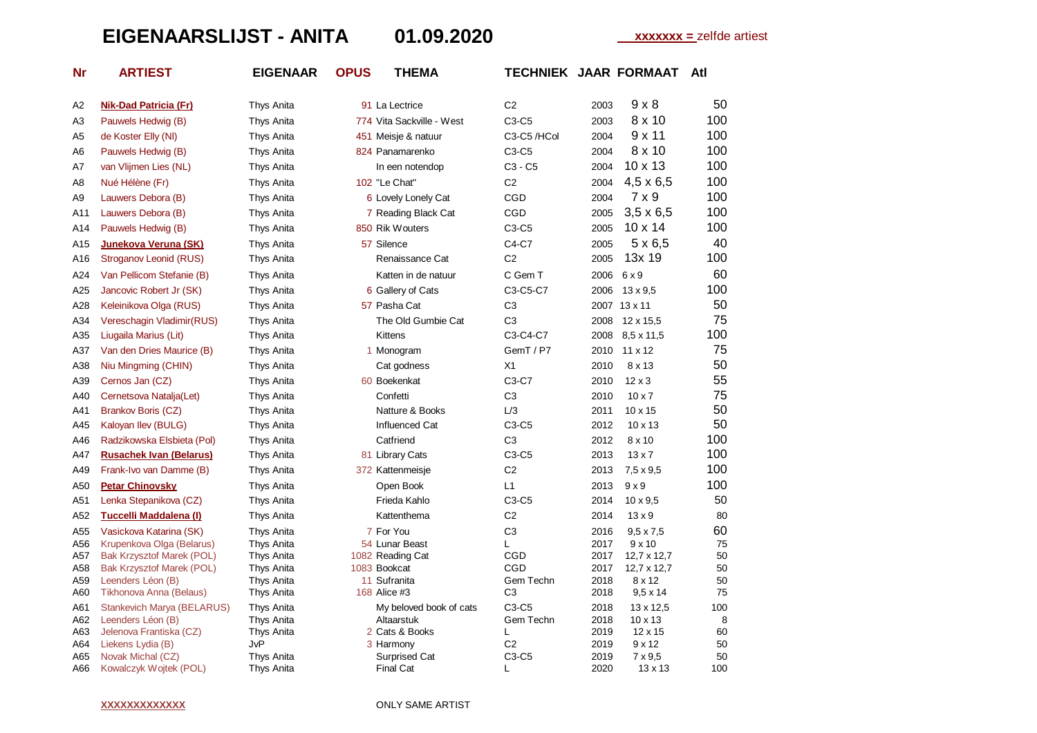## **EIGENAARSLIJST - ANITA 01.09.2020 xxxxxxx =** zelfde artiest

| Nr | <b>ARTIEST</b> |
|----|----------------|
|    |                |
|    |                |

**Nr ARTIEST EIGENAAR OPUS THEMA TECHNIEK JAAR FORMAAT Atl**

| Α2         | <b>Nik-Dad Patricia (Fr)</b>           | Thys Anita        | 91 La Lectrice             | C2                  | 9 x 8<br>2003                  | 50       |
|------------|----------------------------------------|-------------------|----------------------------|---------------------|--------------------------------|----------|
| АЗ         | Pauwels Hedwig (B)                     | <b>Thys Anita</b> | 774 Vita Sackville - West  | $C3-C5$             | 8 x 10<br>2003                 | 100      |
| A5         | de Koster Elly (NI)                    | Thys Anita        | 451 Meisje & natuur        | C3-C5/HCol          | 9x11<br>2004                   | 100      |
| A6         | Pauwels Hedwig (B)                     | Thys Anita        | 824 Panamarenko            | $C3-C5$             | 8 x 10<br>2004                 | 100      |
| Α7         | van Vlijmen Lies (NL)                  | Thys Anita        | In een notendop            | $C3 - C5$           | 10 x 13<br>2004                | 100      |
| A8         | Nué Hélène (Fr)                        | Thys Anita        | 102 "Le Chat"              | C <sub>2</sub>      | $4,5 \times 6,5$<br>2004       | 100      |
| Α9         | Lauwers Debora (B)                     | Thys Anita        | 6 Lovely Lonely Cat        | CGD                 | $7 \times 9$<br>2004           | 100      |
| A11        | Lauwers Debora (B)                     | Thys Anita        | 7 Reading Black Cat        | CGD                 | $3,5 \times 6,5$<br>2005       | 100      |
| A14        | Pauwels Hedwig (B)                     | Thys Anita        | 850 Rik Wouters            | $C3-C5$             | $10 \times 14$<br>2005         | 100      |
| A15        | Junekova Veruna (SK)                   | Thys Anita        | 57 Silence                 | C4-C7               | $5 \times 6,5$<br>2005         | 40       |
| A16        | Stroganov Leonid (RUS)                 | Thys Anita        | Renaissance Cat            | C <sub>2</sub>      | 13x 19<br>2005                 | 100      |
| A24        | Van Pellicom Stefanie (B)              | Thys Anita        | Katten in de natuur        | C Gem T             | 2006<br>6 x 9                  | 60       |
| A25        | Jancovic Robert Jr (SK)                | Thys Anita        | 6 Gallery of Cats          | C3-C5-C7            | 2006<br>$13 \times 9.5$        | 100      |
| A28        | Keleinikova Olga (RUS)                 | Thys Anita        | 57 Pasha Cat               | C <sub>3</sub>      | 2007 13 x 11                   | 50       |
| A34        | Vereschagin Vladimir(RUS)              | Thys Anita        | The Old Gumbie Cat         | C <sub>3</sub>      | 2008<br>12 x 15.5              | 75       |
| A35        | Liugaila Marius (Lit)                  | Thys Anita        | <b>Kittens</b>             | C3-C4-C7            | 8,5 x 11,5<br>2008             | 100      |
| A37        | Van den Dries Maurice (B)              | Thys Anita        | 1 Monogram                 | GemT / P7           | $11 \times 12$<br>2010         | 75       |
| A38        | Niu Mingming (CHIN)                    | Thys Anita        | Cat godness                | X1                  | 8 x 13<br>2010                 | 50       |
| A39        | Cernos Jan (CZ)                        | Thys Anita        | 60 Boekenkat               | C3-C7               | 2010<br>$12 \times 3$          | 55       |
| A40        | Cernetsova Natalja(Let)                | Thys Anita        | Confetti                   | C <sub>3</sub>      | $10 \times 7$<br>2010          | 75       |
| A41        | Brankov Boris (CZ)                     | Thys Anita        | Natture & Books            | L/3                 | 2011<br>$10 \times 15$         | 50       |
| A45        | Kaloyan Ilev (BULG)                    | Thys Anita        | Influenced Cat             | C3-C5               | $10 \times 13$<br>2012         | 50       |
| A46        | Radzikowska Elsbieta (Pol)             | Thys Anita        | Catfriend                  | C <sub>3</sub>      | 8 x 10<br>2012                 | 100      |
| A47        | <b>Rusachek Ivan (Belarus)</b>         | Thys Anita        | 81 Library Cats            | $C3-C5$             | 2013<br>$13 \times 7$          | 100      |
| A49        | Frank-Ivo van Damme (B)                | Thys Anita        | 372 Kattenmeisje           | C <sub>2</sub>      | 2013<br>$7.5 \times 9.5$       | 100      |
| A50        | <b>Petar Chinovsky</b>                 | Thys Anita        | Open Book                  | L1                  | $9 \times 9$<br>2013           | 100      |
| A51        | Lenka Stepanikova (CZ)                 | Thys Anita        | Frieda Kahlo               | $C3-C5$             | 2014<br>$10 \times 9,5$        | 50       |
| A52        | Tuccelli Maddalena (I)                 | Thys Anita        | Kattenthema                | C <sub>2</sub>      | 2014<br>$13 \times 9$          | 80       |
| A55        | Vasickova Katarina (SK)                | Thys Anita        | 7 For You                  | C <sub>3</sub>      | $9.5 \times 7.5$<br>2016       | 60       |
| A56        | Krupenkova Olga (Belarus)              | Thys Anita        | 54 Lunar Beast             | L                   | 2017<br>9x10                   | 75       |
| A57        | <b>Bak Krzysztof Marek (POL)</b>       | Thys Anita        | 1082 Reading Cat           | CGD                 | 2017<br>12,7 x 12,7            | 50       |
| A58        | <b>Bak Krzysztof Marek (POL)</b>       | Thys Anita        | 1083 Bookcat               | CGD                 | 2017<br>12,7 x 12,7            | 50       |
| A59        | Leenders Léon (B)                      | Thys Anita        | 11 Sufranita               | Gem Techn           | 2018<br>8 x 12                 | 50       |
| A60        | Tikhonova Anna (Belaus)                | Thys Anita        | 168 Alice #3               | C <sub>3</sub>      | $9,5 \times 14$<br>2018        | 75       |
| A61        | Stankevich Marya (BELARUS)             | Thys Anita        | My beloved book of cats    | $C3-C5$             | 2018<br>13 x 12,5              | 100      |
| A62        | Leenders Léon (B)                      | <b>Thys Anita</b> | Altaarstuk                 | Gem Techn           | 2018<br>$10 \times 13$         | 8        |
| A63        | Jelenova Frantiska (CZ)                | Thys Anita<br>JvP | 2 Cats & Books             | L<br>C <sub>2</sub> | 2019<br>$12 \times 15$<br>9x12 | 60<br>50 |
| A64        | Liekens Lydia (B)<br>Novak Michal (CZ) | Thys Anita        | 3 Harmony<br>Surprised Cat | $C3-C5$             | 2019<br>2019<br>$7 \times 9,5$ | 50       |
| A65<br>A66 | Kowalczyk Wojtek (POL)                 | Thys Anita        | <b>Final Cat</b>           | L                   | 2020<br>$13 \times 13$         | 100      |
|            |                                        |                   |                            |                     |                                |          |